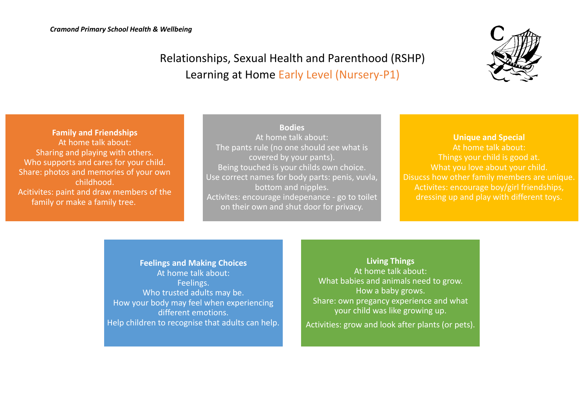

## Relationships, Sexual Health and Parenthood (RSHP) Learning at Home Early Level (Nursery-P1)

**Family and Friendships** At home talk about: Sharing and playing with others. Who supports and cares for your child. Share: photos and memories of your own childhood. Acitivites: paint and draw members of the family or make a family tree.

**Bodies** At home talk about: The pants rule (no one should see what is covered by your pants). Being touched is your childs own choice. Use correct names for body parts: penis, vuvla, bottom and nipples. Activites: encourage indepenance - go to toilet on their own and shut door for privacy.

## **Unique and Special**

At home talk about: Things your child is good at. What you love about your child. Disucss how other family members are unique. Activites: encourage boy/girl friendships, dressing up and play with different toys.

**Feelings and Making Choices** At home talk about: Feelings. Who trusted adults may be. How your body may feel when experiencing different emotions. Help children to recognise that adults can help.

**Living Things** At home talk about: What babies and animals need to grow. How a baby grows. Share: own pregancy experience and what your child was like growing up. Activities: grow and look after plants (or pets).